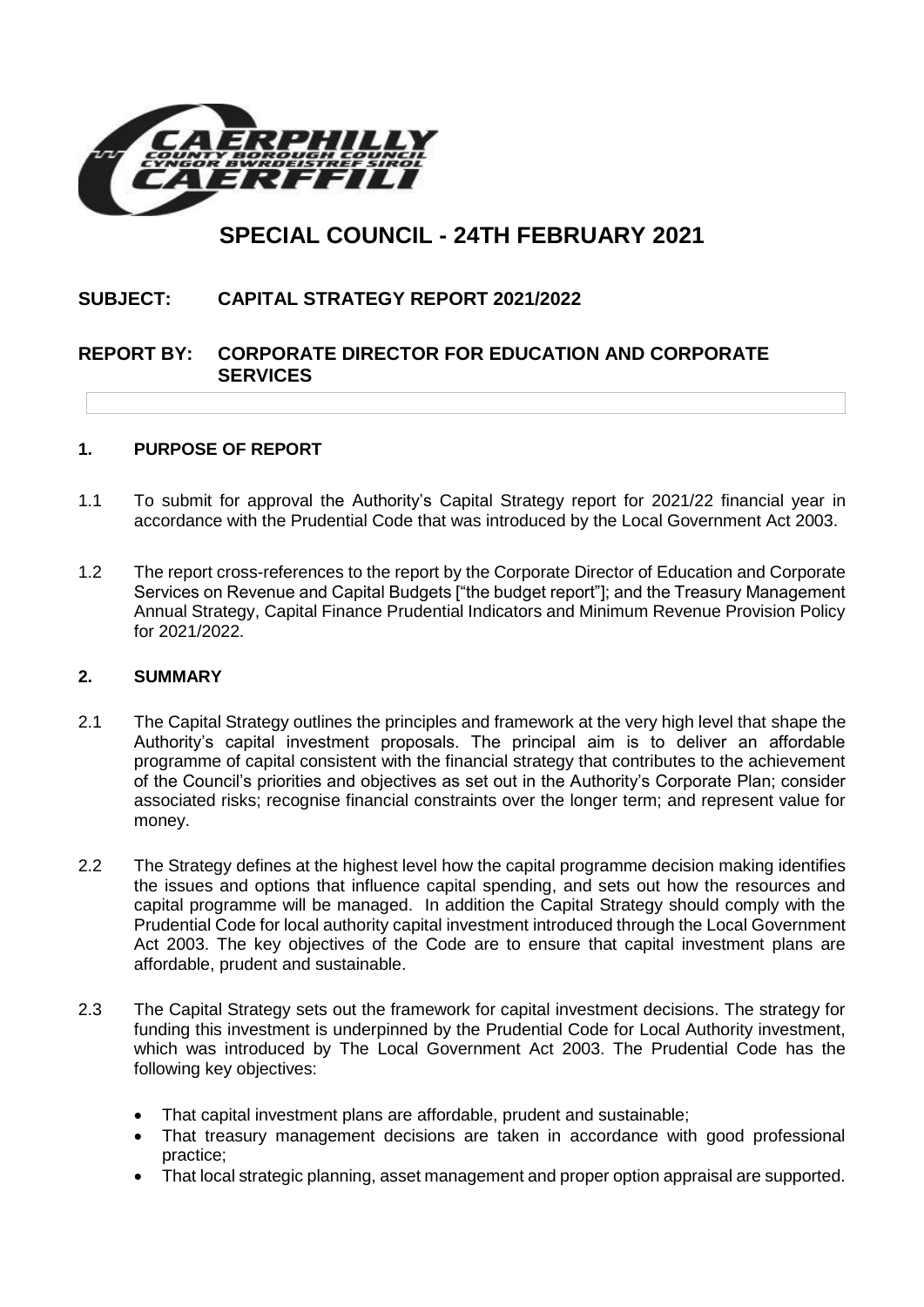

# **SPECIAL COUNCIL - 24TH FEBRUARY 2021**

# **SUBJECT: CAPITAL STRATEGY REPORT 2021/2022**

# **REPORT BY: CORPORATE DIRECTOR FOR EDUCATION AND CORPORATE SERVICES**

#### **1. PURPOSE OF REPORT**

- 1.1 To submit for approval the Authority's Capital Strategy report for 2021/22 financial year in accordance with the Prudential Code that was introduced by the Local Government Act 2003.
- 1.2 The report cross-references to the report by the Corporate Director of Education and Corporate Services on Revenue and Capital Budgets ["the budget report"]; and the Treasury Management Annual Strategy, Capital Finance Prudential Indicators and Minimum Revenue Provision Policy for 2021/2022.

#### **2. SUMMARY**

- 2.1 The Capital Strategy outlines the principles and framework at the very high level that shape the Authority's capital investment proposals. The principal aim is to deliver an affordable programme of capital consistent with the financial strategy that contributes to the achievement of the Council's priorities and objectives as set out in the Authority's Corporate Plan; consider associated risks; recognise financial constraints over the longer term; and represent value for money.
- 2.2 The Strategy defines at the highest level how the capital programme decision making identifies the issues and options that influence capital spending, and sets out how the resources and capital programme will be managed. In addition the Capital Strategy should comply with the Prudential Code for local authority capital investment introduced through the Local Government Act 2003. The key objectives of the Code are to ensure that capital investment plans are affordable, prudent and sustainable.
- 2.3 The Capital Strategy sets out the framework for capital investment decisions. The strategy for funding this investment is underpinned by the Prudential Code for Local Authority investment, which was introduced by The Local Government Act 2003. The Prudential Code has the following key objectives:
	- That capital investment plans are affordable, prudent and sustainable;
	- That treasury management decisions are taken in accordance with good professional practice;
	- That local strategic planning, asset management and proper option appraisal are supported.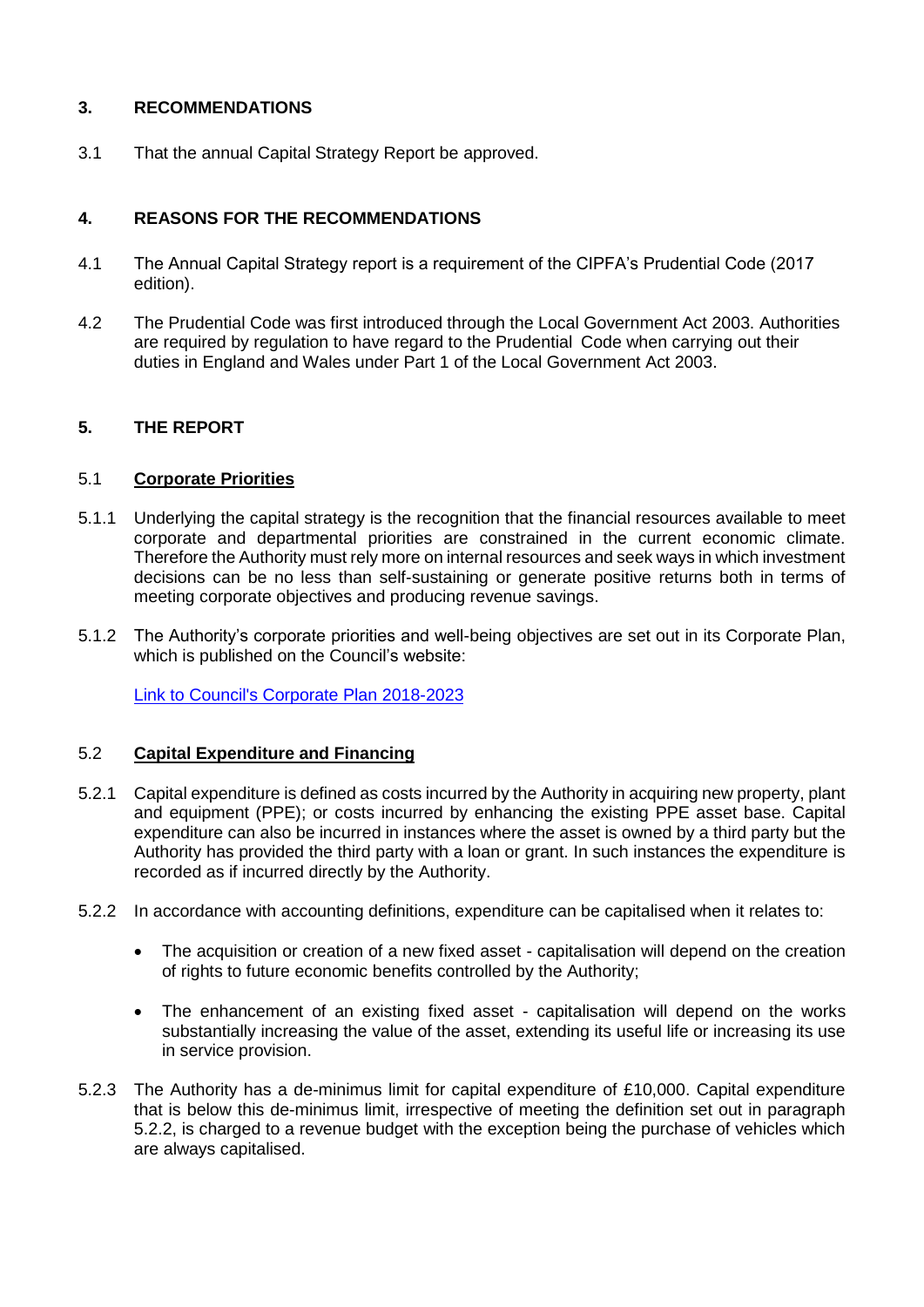# **3. RECOMMENDATIONS**

3.1 That the annual Capital Strategy Report be approved.

# **4. REASONS FOR THE RECOMMENDATIONS**

- 4.1 The Annual Capital Strategy report is a requirement of the CIPFA's Prudential Code (2017 edition).
- 4.2 The Prudential Code was first introduced through the Local Government Act 2003. Authorities are required by regulation to have regard to the Prudential Code when carrying out their duties in England and Wales under Part 1 of the Local Government Act 2003.

# **5. THE REPORT**

#### 5.1 **Corporate Priorities**

- 5.1.1 Underlying the capital strategy is the recognition that the financial resources available to meet corporate and departmental priorities are constrained in the current economic climate. Therefore the Authority must rely more on internal resources and seek ways in which investment decisions can be no less than self-sustaining or generate positive returns both in terms of meeting corporate objectives and producing revenue savings.
- 5.1.2 The Authority's corporate priorities and well-being objectives are set out in its Corporate Plan, which is published on the Council's website:

[Link to Council's Corporate Plan 2018-2023](https://www.caerphilly.gov.uk/CaerphillyDocs/Council-and-democracy/Corporate_Plan_2018-2023.aspx)

#### 5.2 **Capital Expenditure and Financing**

- 5.2.1 Capital expenditure is defined as costs incurred by the Authority in acquiring new property, plant and equipment (PPE); or costs incurred by enhancing the existing PPE asset base. Capital expenditure can also be incurred in instances where the asset is owned by a third party but the Authority has provided the third party with a loan or grant. In such instances the expenditure is recorded as if incurred directly by the Authority.
- 5.2.2 In accordance with accounting definitions, expenditure can be capitalised when it relates to:
	- The acquisition or creation of a new fixed asset capitalisation will depend on the creation of rights to future economic benefits controlled by the Authority;
	- The enhancement of an existing fixed asset capitalisation will depend on the works substantially increasing the value of the asset, extending its useful life or increasing its use in service provision.
- 5.2.3 The Authority has a de-minimus limit for capital expenditure of £10,000. Capital expenditure that is below this de-minimus limit, irrespective of meeting the definition set out in paragraph 5.2.2, is charged to a revenue budget with the exception being the purchase of vehicles which are always capitalised.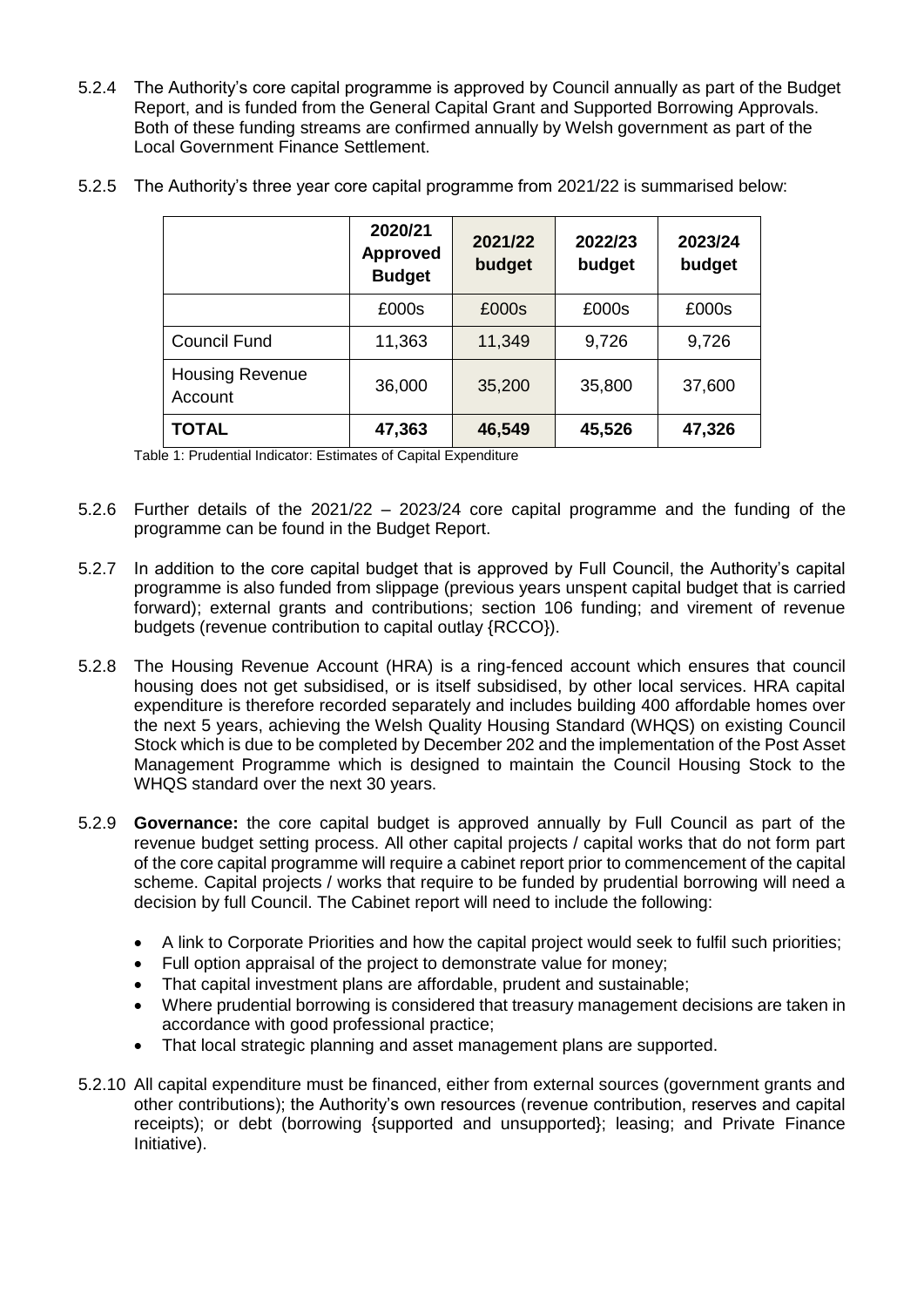5.2.4 The Authority's core capital programme is approved by Council annually as part of the Budget Report, and is funded from the General Capital Grant and Supported Borrowing Approvals. Both of these funding streams are confirmed annually by Welsh government as part of the Local Government Finance Settlement.

|                                   | 2020/21<br><b>Approved</b><br><b>Budget</b> | 2021/22<br>budget | 2022/23<br>budget | 2023/24<br>budget |
|-----------------------------------|---------------------------------------------|-------------------|-------------------|-------------------|
|                                   | £000s                                       | £000s             | £000s             | £000s             |
| <b>Council Fund</b>               | 11,363                                      | 11,349            | 9,726             | 9,726             |
| <b>Housing Revenue</b><br>Account | 36,000                                      | 35,200            | 35,800            | 37,600            |
| <b>TOTAL</b>                      | 47,363                                      | 46,549            | 45,526            | 47,326            |

5.2.5 The Authority's three year core capital programme from 2021/22 is summarised below:

Table 1: Prudential Indicator: Estimates of Capital Expenditure

- 5.2.6 Further details of the 2021/22 2023/24 core capital programme and the funding of the programme can be found in the Budget Report.
- 5.2.7 In addition to the core capital budget that is approved by Full Council, the Authority's capital programme is also funded from slippage (previous years unspent capital budget that is carried forward); external grants and contributions; section 106 funding; and virement of revenue budgets (revenue contribution to capital outlay {RCCO}).
- 5.2.8 The Housing Revenue Account (HRA) is a ring-fenced account which ensures that council housing does not get subsidised, or is itself subsidised, by other local services. HRA capital expenditure is therefore recorded separately and includes building 400 affordable homes over the next 5 years, achieving the Welsh Quality Housing Standard (WHQS) on existing Council Stock which is due to be completed by December 202 and the implementation of the Post Asset Management Programme which is designed to maintain the Council Housing Stock to the WHQS standard over the next 30 years.
- 5.2.9 **Governance:** the core capital budget is approved annually by Full Council as part of the revenue budget setting process. All other capital projects / capital works that do not form part of the core capital programme will require a cabinet report prior to commencement of the capital scheme. Capital projects / works that require to be funded by prudential borrowing will need a decision by full Council. The Cabinet report will need to include the following:
	- A link to Corporate Priorities and how the capital project would seek to fulfil such priorities;
	- Full option appraisal of the project to demonstrate value for money;
	- That capital investment plans are affordable, prudent and sustainable;
	- Where prudential borrowing is considered that treasury management decisions are taken in accordance with good professional practice;
	- That local strategic planning and asset management plans are supported.
- 5.2.10 All capital expenditure must be financed, either from external sources (government grants and other contributions); the Authority's own resources (revenue contribution, reserves and capital receipts); or debt (borrowing {supported and unsupported}; leasing; and Private Finance Initiative).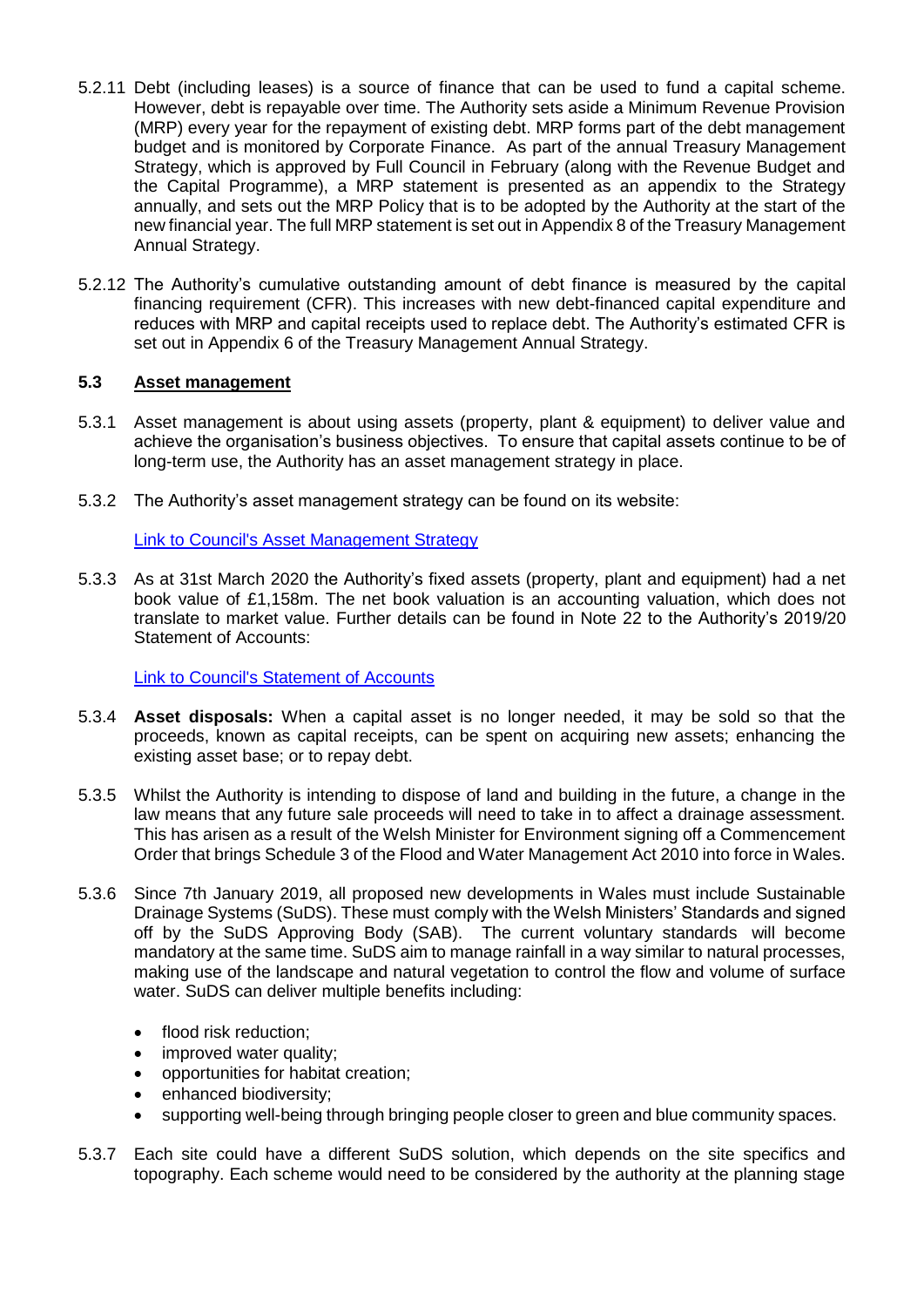- 5.2.11 Debt (including leases) is a source of finance that can be used to fund a capital scheme. However, debt is repayable over time. The Authority sets aside a Minimum Revenue Provision (MRP) every year for the repayment of existing debt. MRP forms part of the debt management budget and is monitored by Corporate Finance. As part of the annual Treasury Management Strategy, which is approved by Full Council in February (along with the Revenue Budget and the Capital Programme), a MRP statement is presented as an appendix to the Strategy annually, and sets out the MRP Policy that is to be adopted by the Authority at the start of the new financial year. The full MRP statement is set out in Appendix 8 of the Treasury Management Annual Strategy.
- 5.2.12 The Authority's cumulative outstanding amount of debt finance is measured by the capital financing requirement (CFR). This increases with new debt-financed capital expenditure and reduces with MRP and capital receipts used to replace debt. The Authority's estimated CFR is set out in Appendix 6 of the Treasury Management Annual Strategy.

#### **5.3 Asset management**

- 5.3.1 Asset management is about using assets (property, plant & equipment) to deliver value and achieve the organisation's business objectives. To ensure that capital assets continue to be of long-term use, the Authority has an asset management strategy in place.
- 5.3.2 The Authority's asset management strategy can be found on its website:

#### [Link to Council's Asset Management Strategy](https://www.caerphilly.gov.uk/My-Council/Strategies,-plans-and-policies/Corporate-strategies,-plans-and-policies/Corporate-Asset-Management-Strategy)

5.3.3 As at 31st March 2020 the Authority's fixed assets (property, plant and equipment) had a net book value of £1,158m. The net book valuation is an accounting valuation, which does not translate to market value. Further details can be found in Note 22 to the Authority's 2019/20 Statement of Accounts:

[Link to Council's Statement of Accounts](https://www.caerphilly.gov.uk/CaerphillyDocs/Council-and-democracy/StatementofAccounts-31-03-2020.aspx)

- 5.3.4 **Asset disposals:** When a capital asset is no longer needed, it may be sold so that the proceeds, known as capital receipts, can be spent on acquiring new assets; enhancing the existing asset base; or to repay debt.
- 5.3.5 Whilst the Authority is intending to dispose of land and building in the future, a change in the law means that any future sale proceeds will need to take in to affect a drainage assessment. This has arisen as a result of the Welsh Minister for Environment signing off a Commencement Order that brings Schedule 3 of the Flood and Water Management Act 2010 into force in Wales.
- 5.3.6 Since 7th January 2019, all proposed new developments in Wales must include Sustainable Drainage Systems (SuDS). These must comply with the Welsh Ministers' Standards and signed off by the SuDS Approving Body (SAB). The [current voluntary standards](https://gov.wales/topics/environmentcountryside/epq/flooding/drainage/?lang=en) will become mandatory at the same time. SuDS aim to manage rainfall in a way similar to natural processes, making use of the landscape and natural vegetation to control the flow and volume of surface water. SuDS can deliver multiple benefits including:
	- flood risk reduction;
	- improved water quality;
	- opportunities for habitat creation;
	- enhanced biodiversity:
	- supporting well-being through bringing people closer to green and blue community spaces.
- 5.3.7 Each site could have a different SuDS solution, which depends on the site specifics and topography. Each scheme would need to be considered by the authority at the planning stage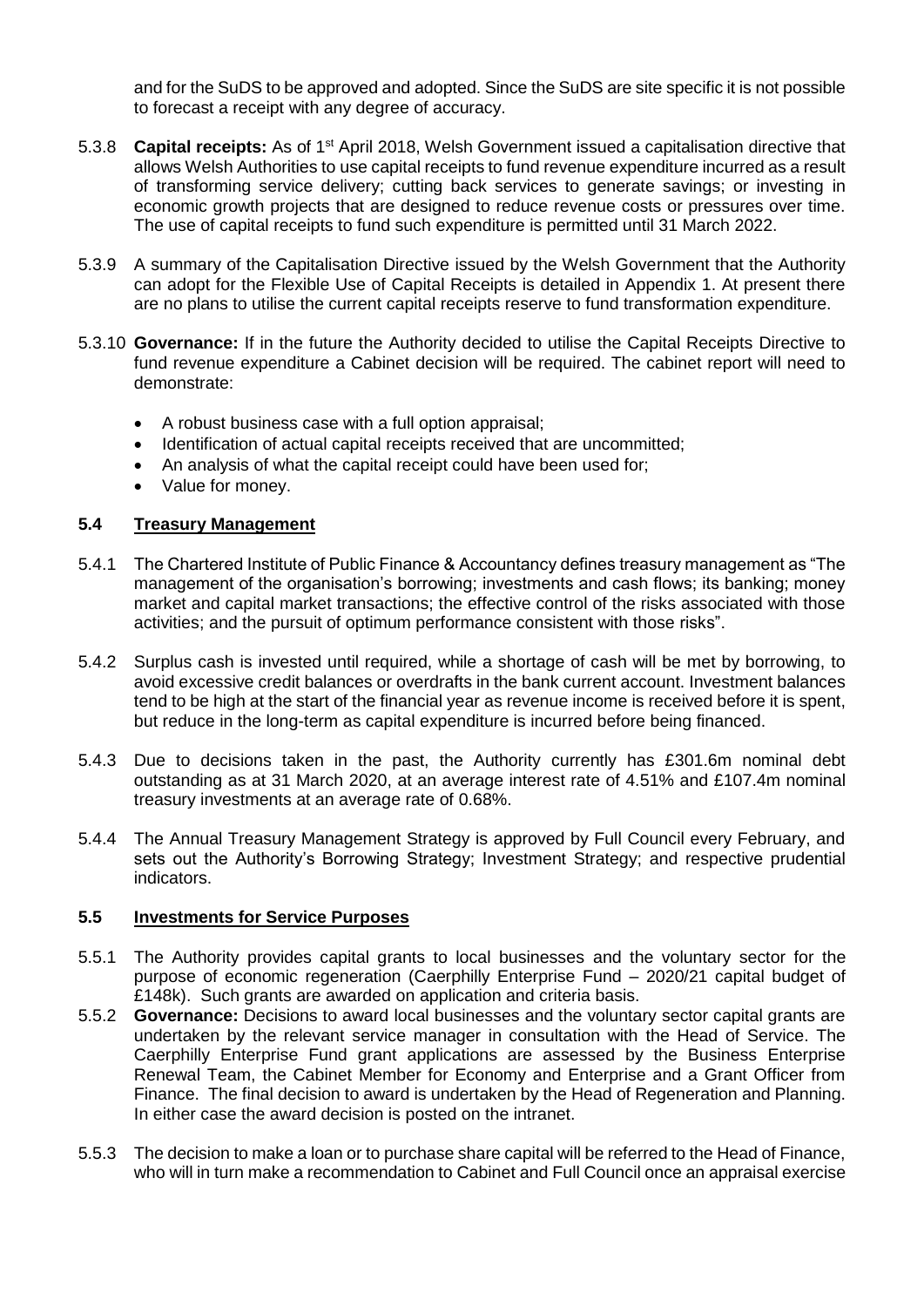and for the SuDS to be approved and adopted. Since the SuDS are site specific it is not possible to forecast a receipt with any degree of accuracy.

- 5.3.8 **Capital receipts:** As of 1st April 2018, Welsh Government issued a capitalisation directive that allows Welsh Authorities to use capital receipts to fund revenue expenditure incurred as a result of transforming service delivery; cutting back services to generate savings; or investing in economic growth projects that are designed to reduce revenue costs or pressures over time. The use of capital receipts to fund such expenditure is permitted until 31 March 2022.
- 5.3.9 A summary of the Capitalisation Directive issued by the Welsh Government that the Authority can adopt for the Flexible Use of Capital Receipts is detailed in Appendix 1. At present there are no plans to utilise the current capital receipts reserve to fund transformation expenditure.
- 5.3.10 **Governance:** If in the future the Authority decided to utilise the Capital Receipts Directive to fund revenue expenditure a Cabinet decision will be required. The cabinet report will need to demonstrate:
	- A robust business case with a full option appraisal;
	- Identification of actual capital receipts received that are uncommitted;
	- An analysis of what the capital receipt could have been used for;
	- Value for money.

#### **5.4 Treasury Management**

- 5.4.1 The Chartered Institute of Public Finance & Accountancy defines treasury management as "The management of the organisation's borrowing; investments and cash flows; its banking; money market and capital market transactions; the effective control of the risks associated with those activities; and the pursuit of optimum performance consistent with those risks".
- 5.4.2 Surplus cash is invested until required, while a shortage of cash will be met by borrowing, to avoid excessive credit balances or overdrafts in the bank current account. Investment balances tend to be high at the start of the financial year as revenue income is received before it is spent, but reduce in the long-term as capital expenditure is incurred before being financed.
- 5.4.3 Due to decisions taken in the past, the Authority currently has £301.6m nominal debt outstanding as at 31 March 2020, at an average interest rate of 4.51% and £107.4m nominal treasury investments at an average rate of 0.68%.
- 5.4.4 The Annual Treasury Management Strategy is approved by Full Council every February, and sets out the Authority's Borrowing Strategy; Investment Strategy; and respective prudential indicators.

#### **5.5 Investments for Service Purposes**

- 5.5.1 The Authority provides capital grants to local businesses and the voluntary sector for the purpose of economic regeneration (Caerphilly Enterprise Fund – 2020/21 capital budget of £148k). Such grants are awarded on application and criteria basis.
- 5.5.2 **Governance:** Decisions to award local businesses and the voluntary sector capital grants are undertaken by the relevant service manager in consultation with the Head of Service. The Caerphilly Enterprise Fund grant applications are assessed by the Business Enterprise Renewal Team, the Cabinet Member for Economy and Enterprise and a Grant Officer from Finance. The final decision to award is undertaken by the Head of Regeneration and Planning. In either case the award decision is posted on the intranet.
- 5.5.3 The decision to make a loan or to purchase share capital will be referred to the Head of Finance, who will in turn make a recommendation to Cabinet and Full Council once an appraisal exercise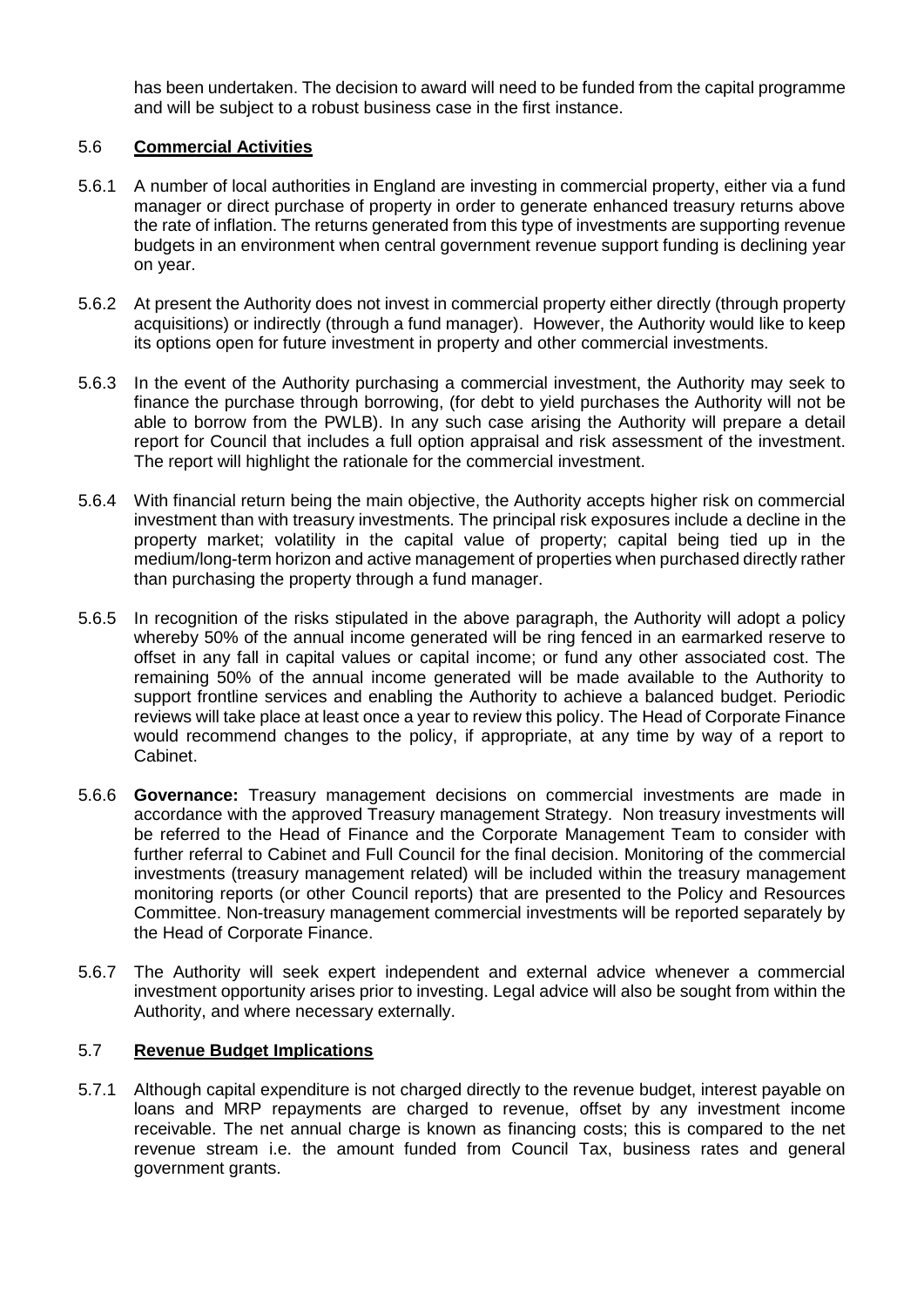has been undertaken. The decision to award will need to be funded from the capital programme and will be subject to a robust business case in the first instance.

### 5.6 **Commercial Activities**

- 5.6.1 A number of local authorities in England are investing in commercial property, either via a fund manager or direct purchase of property in order to generate enhanced treasury returns above the rate of inflation. The returns generated from this type of investments are supporting revenue budgets in an environment when central government revenue support funding is declining year on year.
- 5.6.2 At present the Authority does not invest in commercial property either directly (through property acquisitions) or indirectly (through a fund manager). However, the Authority would like to keep its options open for future investment in property and other commercial investments.
- 5.6.3 In the event of the Authority purchasing a commercial investment, the Authority may seek to finance the purchase through borrowing, (for debt to yield purchases the Authority will not be able to borrow from the PWLB). In any such case arising the Authority will prepare a detail report for Council that includes a full option appraisal and risk assessment of the investment. The report will highlight the rationale for the commercial investment.
- 5.6.4 With financial return being the main objective, the Authority accepts higher risk on commercial investment than with treasury investments. The principal risk exposures include a decline in the property market; volatility in the capital value of property; capital being tied up in the medium/long-term horizon and active management of properties when purchased directly rather than purchasing the property through a fund manager.
- 5.6.5 In recognition of the risks stipulated in the above paragraph, the Authority will adopt a policy whereby 50% of the annual income generated will be ring fenced in an earmarked reserve to offset in any fall in capital values or capital income; or fund any other associated cost. The remaining 50% of the annual income generated will be made available to the Authority to support frontline services and enabling the Authority to achieve a balanced budget. Periodic reviews will take place at least once a year to review this policy. The Head of Corporate Finance would recommend changes to the policy, if appropriate, at any time by way of a report to Cabinet.
- 5.6.6 **Governance:** Treasury management decisions on commercial investments are made in accordance with the approved Treasury management Strategy. Non treasury investments will be referred to the Head of Finance and the Corporate Management Team to consider with further referral to Cabinet and Full Council for the final decision. Monitoring of the commercial investments (treasury management related) will be included within the treasury management monitoring reports (or other Council reports) that are presented to the Policy and Resources Committee. Non-treasury management commercial investments will be reported separately by the Head of Corporate Finance.
- 5.6.7 The Authority will seek expert independent and external advice whenever a commercial investment opportunity arises prior to investing. Legal advice will also be sought from within the Authority, and where necessary externally.

#### 5.7 **Revenue Budget Implications**

5.7.1 Although capital expenditure is not charged directly to the revenue budget, interest payable on loans and MRP repayments are charged to revenue, offset by any investment income receivable. The net annual charge is known as financing costs; this is compared to the net revenue stream i.e. the amount funded from Council Tax, business rates and general government grants.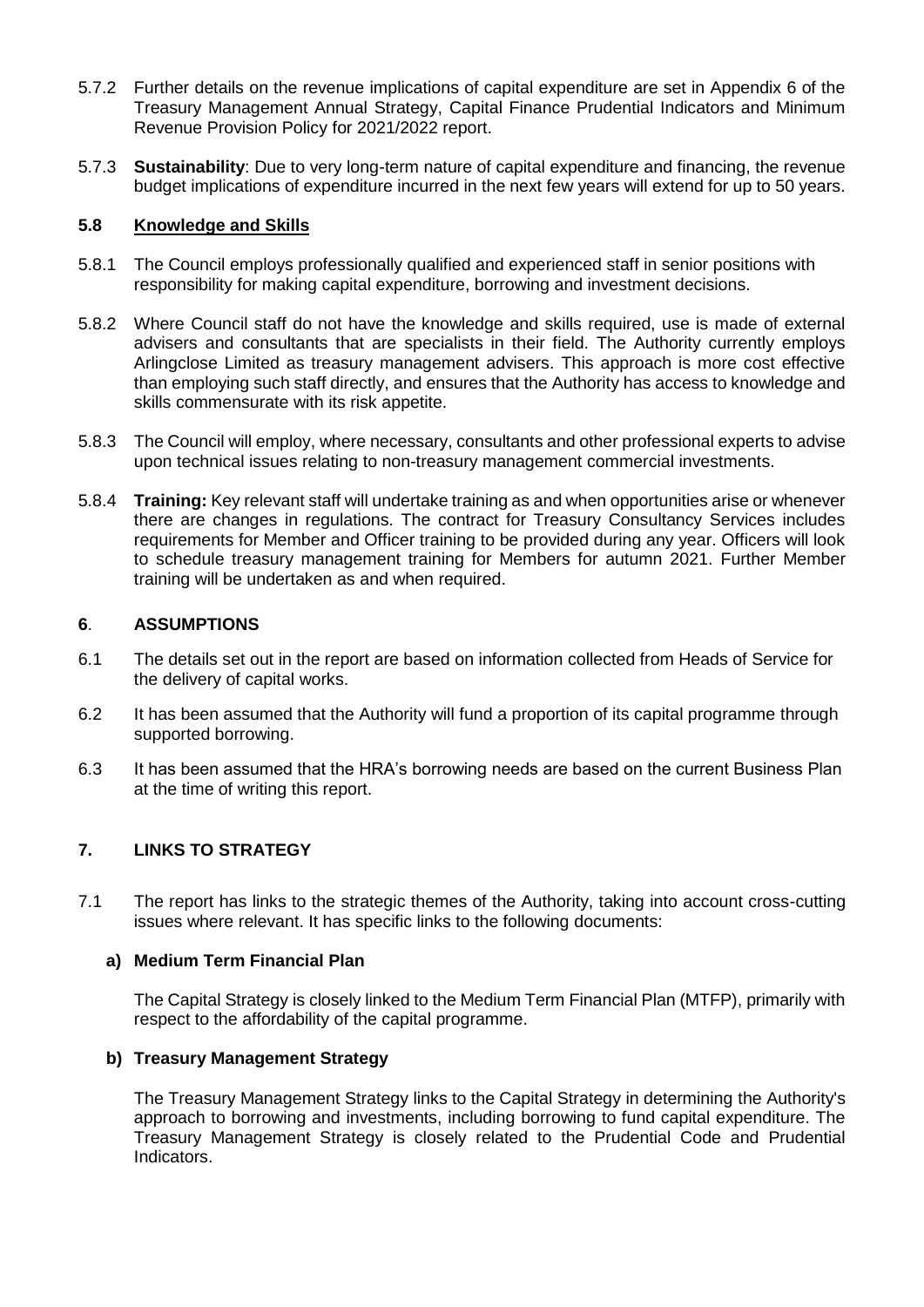- 5.7.2 Further details on the revenue implications of capital expenditure are set in Appendix 6 of the Treasury Management Annual Strategy, Capital Finance Prudential Indicators and Minimum Revenue Provision Policy for 2021/2022 report.
- 5.7.3 **Sustainability**: Due to very long-term nature of capital expenditure and financing, the revenue budget implications of expenditure incurred in the next few years will extend for up to 50 years.

#### **5.8 Knowledge and Skills**

- 5.8.1 The Council employs professionally qualified and experienced staff in senior positions with responsibility for making capital expenditure, borrowing and investment decisions.
- 5.8.2 Where Council staff do not have the knowledge and skills required, use is made of external advisers and consultants that are specialists in their field. The Authority currently employs Arlingclose Limited as treasury management advisers. This approach is more cost effective than employing such staff directly, and ensures that the Authority has access to knowledge and skills commensurate with its risk appetite.
- 5.8.3 The Council will employ, where necessary, consultants and other professional experts to advise upon technical issues relating to non-treasury management commercial investments.
- 5.8.4 **Training:** Key relevant staff will undertake training as and when opportunities arise or whenever there are changes in regulations. The contract for Treasury Consultancy Services includes requirements for Member and Officer training to be provided during any year. Officers will look to schedule treasury management training for Members for autumn 2021. Further Member training will be undertaken as and when required.

#### **6**. **ASSUMPTIONS**

- 6.1 The details set out in the report are based on information collected from Heads of Service for the delivery of capital works.
- 6.2 It has been assumed that the Authority will fund a proportion of its capital programme through supported borrowing.
- 6.3 It has been assumed that the HRA's borrowing needs are based on the current Business Plan at the time of writing this report.

#### **7. LINKS TO STRATEGY**

7.1 The report has links to the strategic themes of the Authority, taking into account cross-cutting issues where relevant. It has specific links to the following documents:

#### **a) Medium Term Financial Plan**

The Capital Strategy is closely linked to the Medium Term Financial Plan (MTFP), primarily with respect to the affordability of the capital programme.

#### **b) Treasury Management Strategy**

The Treasury Management Strategy links to the Capital Strategy in determining the Authority's approach to borrowing and investments, including borrowing to fund capital expenditure. The Treasury Management Strategy is closely related to the Prudential Code and Prudential Indicators.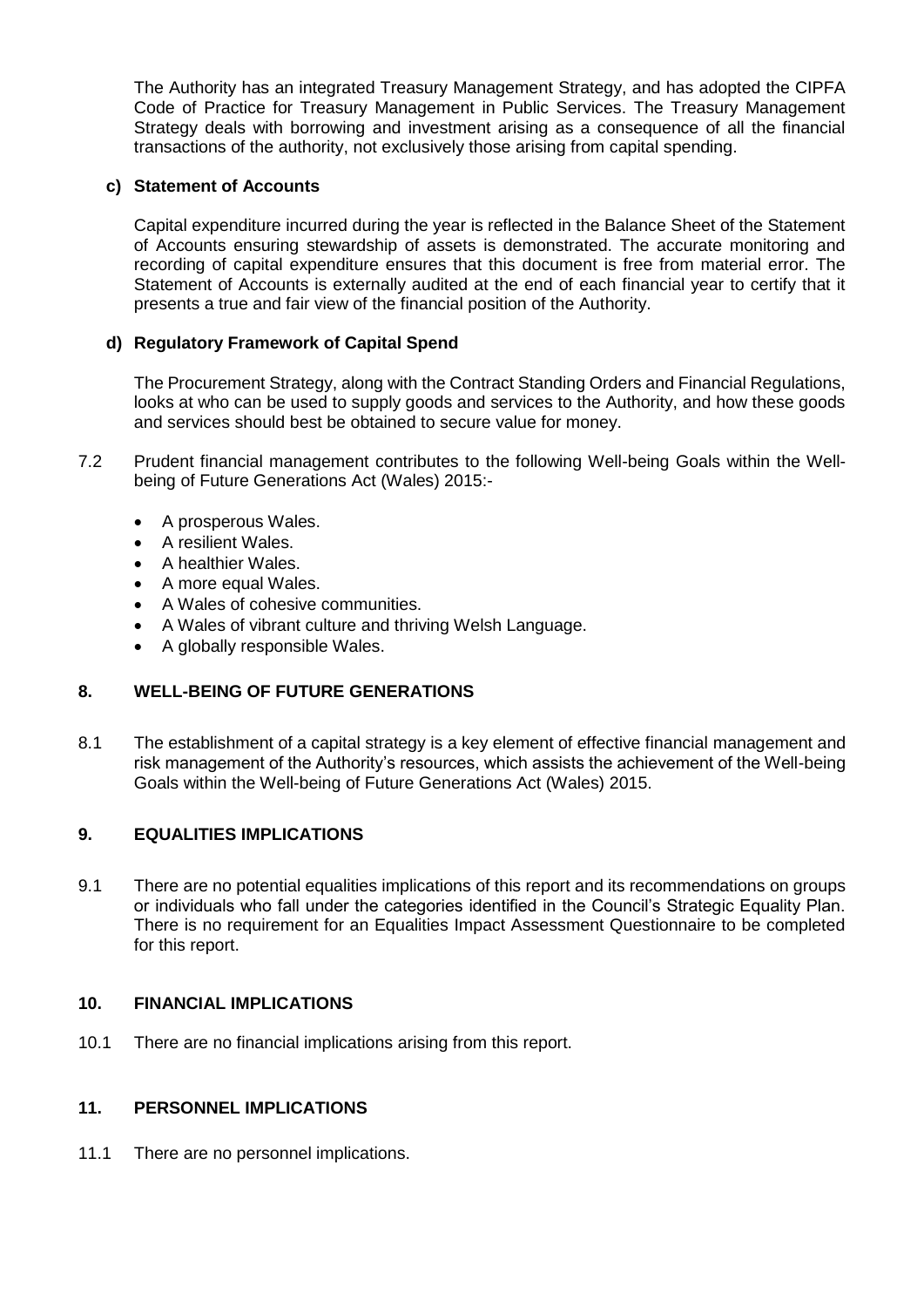The Authority has an integrated Treasury Management Strategy, and has adopted the CIPFA Code of Practice for Treasury Management in Public Services. The Treasury Management Strategy deals with borrowing and investment arising as a consequence of all the financial transactions of the authority, not exclusively those arising from capital spending.

## **c) Statement of Accounts**

Capital expenditure incurred during the year is reflected in the Balance Sheet of the Statement of Accounts ensuring stewardship of assets is demonstrated. The accurate monitoring and recording of capital expenditure ensures that this document is free from material error. The Statement of Accounts is externally audited at the end of each financial year to certify that it presents a true and fair view of the financial position of the Authority.

# **d) Regulatory Framework of Capital Spend**

The Procurement Strategy, along with the Contract Standing Orders and Financial Regulations, looks at who can be used to supply goods and services to the Authority, and how these goods and services should best be obtained to secure value for money.

- 7.2 Prudent financial management contributes to the following Well-being Goals within the Wellbeing of Future Generations Act (Wales) 2015:-
	- A prosperous Wales.
	- A resilient Wales.
	- A healthier Wales.
	- A more equal Wales.
	- A Wales of cohesive communities.
	- A Wales of vibrant culture and thriving Welsh Language.
	- A globally responsible Wales.

# **8. WELL-BEING OF FUTURE GENERATIONS**

8.1 The establishment of a capital strategy is a key element of effective financial management and risk management of the Authority's resources, which assists the achievement of the Well-being Goals within the Well-being of Future Generations Act (Wales) 2015.

#### **9. EQUALITIES IMPLICATIONS**

9.1 There are no potential equalities implications of this report and its recommendations on groups or individuals who fall under the categories identified in the Council's Strategic Equality Plan. There is no requirement for an Equalities Impact Assessment Questionnaire to be completed for this report.

#### **10. FINANCIAL IMPLICATIONS**

10.1 There are no financial implications arising from this report.

#### **11. PERSONNEL IMPLICATIONS**

11.1 There are no personnel implications.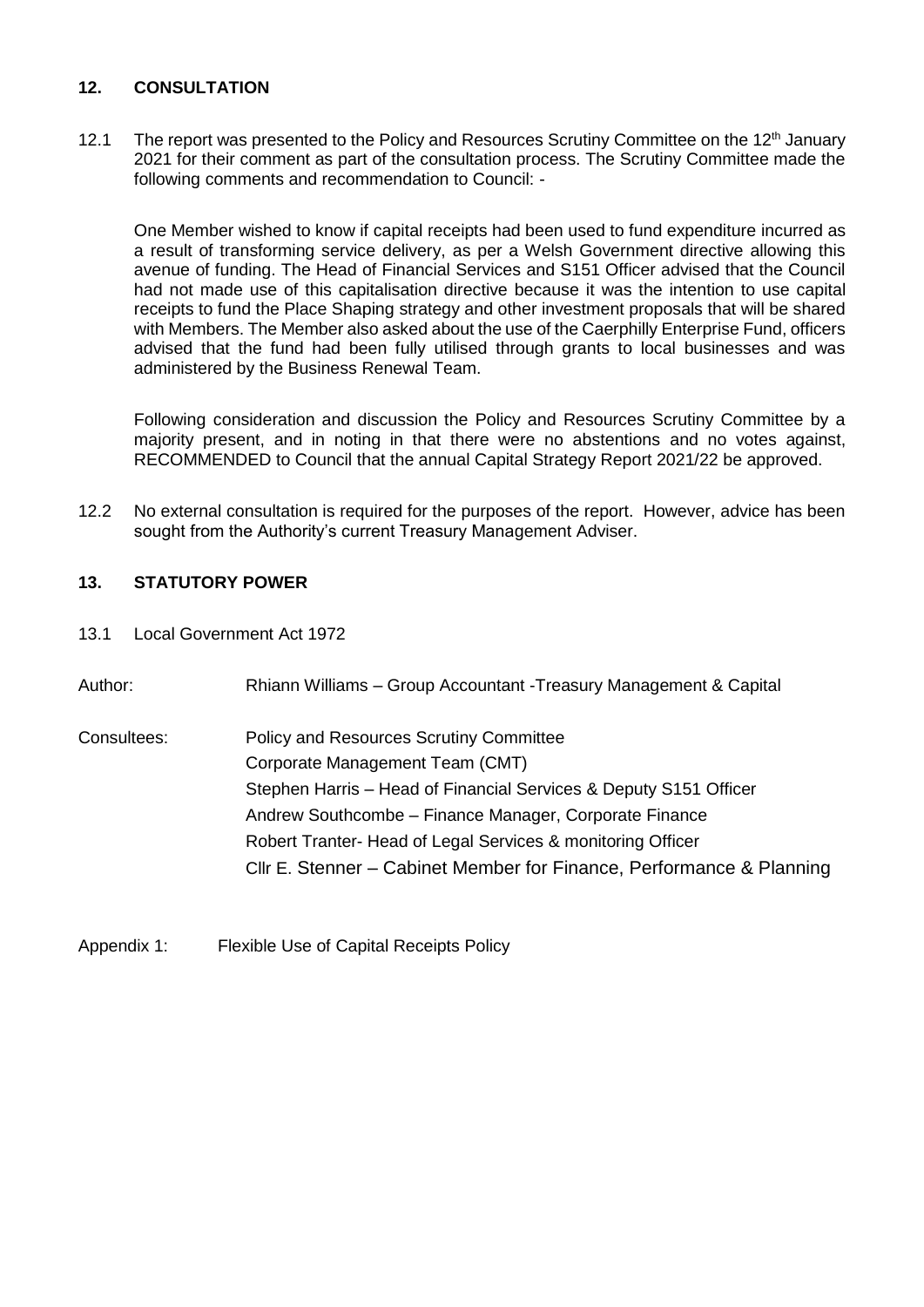# **12. CONSULTATION**

12.1 The report was presented to the Policy and Resources Scrutiny Committee on the 12<sup>th</sup> January 2021 for their comment as part of the consultation process. The Scrutiny Committee made the following comments and recommendation to Council: -

One Member wished to know if capital receipts had been used to fund expenditure incurred as a result of transforming service delivery, as per a Welsh Government directive allowing this avenue of funding. The Head of Financial Services and S151 Officer advised that the Council had not made use of this capitalisation directive because it was the intention to use capital receipts to fund the Place Shaping strategy and other investment proposals that will be shared with Members. The Member also asked about the use of the Caerphilly Enterprise Fund, officers advised that the fund had been fully utilised through grants to local businesses and was administered by the Business Renewal Team.

Following consideration and discussion the Policy and Resources Scrutiny Committee by a majority present, and in noting in that there were no abstentions and no votes against, RECOMMENDED to Council that the annual Capital Strategy Report 2021/22 be approved.

12.2 No external consultation is required for the purposes of the report. However, advice has been sought from the Authority's current Treasury Management Adviser.

# **13. STATUTORY POWER**

13.1 Local Government Act 1972

Author: Rhiann Williams – Group Accountant -Treasury Management & Capital Consultees: Policy and Resources Scrutiny Committee Corporate Management Team (CMT) Stephen Harris – Head of Financial Services & Deputy S151 Officer Andrew Southcombe – Finance Manager, Corporate Finance Robert Tranter- Head of Legal Services & monitoring Officer Cllr E. Stenner – Cabinet Member for Finance, Performance & Planning

Appendix 1: Flexible Use of Capital Receipts Policy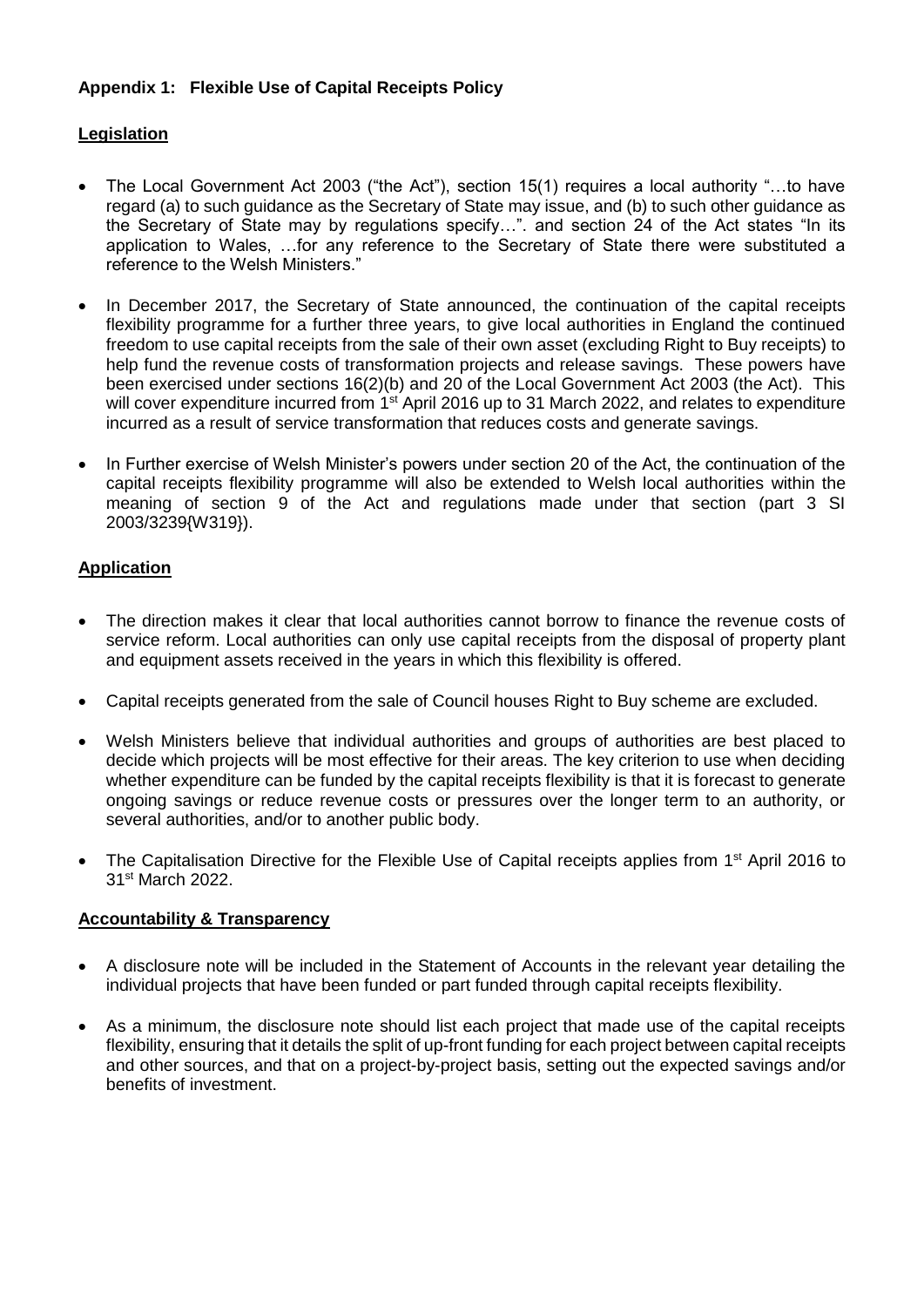# **Appendix 1: Flexible Use of Capital Receipts Policy**

# **Legislation**

- The Local Government Act 2003 ("the Act"), section 15(1) requires a local authority "…to have regard (a) to such guidance as the Secretary of State may issue, and (b) to such other guidance as the Secretary of State may by regulations specify…". and section 24 of the Act states "In its application to Wales, …for any reference to the Secretary of State there were substituted a reference to the Welsh Ministers."
- In December 2017, the Secretary of State announced, the continuation of the capital receipts flexibility programme for a further three years, to give local authorities in England the continued freedom to use capital receipts from the sale of their own asset (excluding Right to Buy receipts) to help fund the revenue costs of transformation projects and release savings. These powers have been exercised under sections 16(2)(b) and 20 of the Local Government Act 2003 (the Act). This will cover expenditure incurred from 1<sup>st</sup> April 2016 up to 31 March 2022, and relates to expenditure incurred as a result of service transformation that reduces costs and generate savings.
- In Further exercise of Welsh Minister's powers under section 20 of the Act, the continuation of the capital receipts flexibility programme will also be extended to Welsh local authorities within the meaning of section 9 of the Act and regulations made under that section (part 3 SI 2003/3239{W319}).

# **Application**

- The direction makes it clear that local authorities cannot borrow to finance the revenue costs of service reform. Local authorities can only use capital receipts from the disposal of property plant and equipment assets received in the years in which this flexibility is offered.
- Capital receipts generated from the sale of Council houses Right to Buy scheme are excluded.
- Welsh Ministers believe that individual authorities and groups of authorities are best placed to decide which projects will be most effective for their areas. The key criterion to use when deciding whether expenditure can be funded by the capital receipts flexibility is that it is forecast to generate ongoing savings or reduce revenue costs or pressures over the longer term to an authority, or several authorities, and/or to another public body.
- The Capitalisation Directive for the Flexible Use of Capital receipts applies from 1<sup>st</sup> April 2016 to 31st March 2022.

#### **Accountability & Transparency**

- A disclosure note will be included in the Statement of Accounts in the relevant year detailing the individual projects that have been funded or part funded through capital receipts flexibility.
- As a minimum, the disclosure note should list each project that made use of the capital receipts flexibility, ensuring that it details the split of up-front funding for each project between capital receipts and other sources, and that on a project-by-project basis, setting out the expected savings and/or benefits of investment.